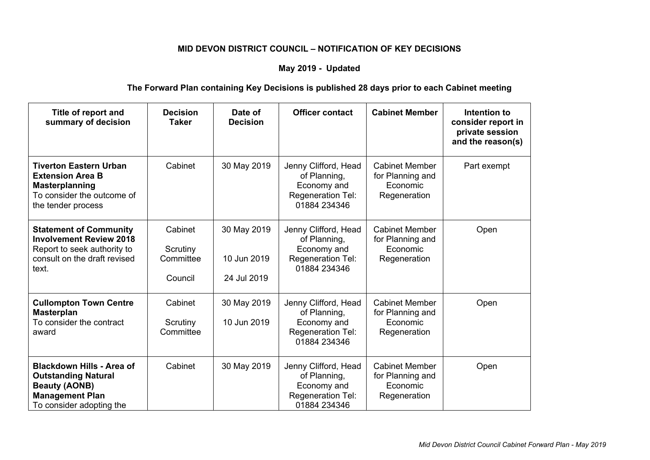## **MID DEVON DISTRICT COUNCIL – NOTIFICATION OF KEY DECISIONS**

## **May 2019 - Updated**

## **The Forward Plan containing Key Decisions is published 28 days prior to each Cabinet meeting**

| Title of report and<br>summary of decision                                                                                                   | <b>Decision</b><br>Taker                    | Date of<br><b>Decision</b>                | <b>Officer contact</b>                                                                          | <b>Cabinet Member</b>                                                 | Intention to<br>consider report in<br>private session<br>and the reason(s) |
|----------------------------------------------------------------------------------------------------------------------------------------------|---------------------------------------------|-------------------------------------------|-------------------------------------------------------------------------------------------------|-----------------------------------------------------------------------|----------------------------------------------------------------------------|
| <b>Tiverton Eastern Urban</b><br><b>Extension Area B</b><br><b>Masterplanning</b><br>To consider the outcome of<br>the tender process        | Cabinet                                     | 30 May 2019                               | Jenny Clifford, Head<br>of Planning,<br>Economy and<br>Regeneration Tel:<br>01884 234346        | <b>Cabinet Member</b><br>for Planning and<br>Economic<br>Regeneration | Part exempt                                                                |
| <b>Statement of Community</b><br><b>Involvement Review 2018</b><br>Report to seek authority to<br>consult on the draft revised<br>text.      | Cabinet<br>Scrutiny<br>Committee<br>Council | 30 May 2019<br>10 Jun 2019<br>24 Jul 2019 | Jenny Clifford, Head<br>of Planning,<br>Economy and<br><b>Regeneration Tel:</b><br>01884 234346 | <b>Cabinet Member</b><br>for Planning and<br>Economic<br>Regeneration | Open                                                                       |
| <b>Cullompton Town Centre</b><br><b>Masterplan</b><br>To consider the contract<br>award                                                      | Cabinet<br>Scrutiny<br>Committee            | 30 May 2019<br>10 Jun 2019                | Jenny Clifford, Head<br>of Planning,<br>Economy and<br>Regeneration Tel:<br>01884 234346        | <b>Cabinet Member</b><br>for Planning and<br>Economic<br>Regeneration | Open                                                                       |
| <b>Blackdown Hills - Area of</b><br><b>Outstanding Natural</b><br><b>Beauty (AONB)</b><br><b>Management Plan</b><br>To consider adopting the | Cabinet                                     | 30 May 2019                               | Jenny Clifford, Head<br>of Planning,<br>Economy and<br>Regeneration Tel:<br>01884 234346        | <b>Cabinet Member</b><br>for Planning and<br>Economic<br>Regeneration | Open                                                                       |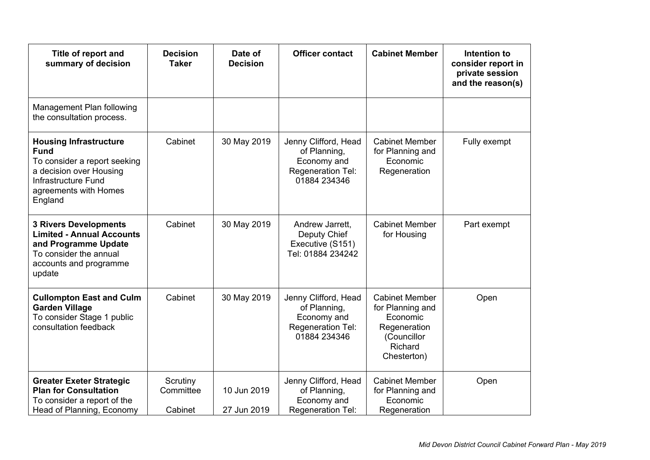| Title of report and<br>summary of decision                                                                                                                         | <b>Decision</b><br><b>Taker</b>  | Date of<br><b>Decision</b> | <b>Officer contact</b>                                                                   | <b>Cabinet Member</b>                                                                                          | Intention to<br>consider report in<br>private session<br>and the reason(s) |
|--------------------------------------------------------------------------------------------------------------------------------------------------------------------|----------------------------------|----------------------------|------------------------------------------------------------------------------------------|----------------------------------------------------------------------------------------------------------------|----------------------------------------------------------------------------|
| Management Plan following<br>the consultation process.                                                                                                             |                                  |                            |                                                                                          |                                                                                                                |                                                                            |
| <b>Housing Infrastructure</b><br><b>Fund</b><br>To consider a report seeking<br>a decision over Housing<br>Infrastructure Fund<br>agreements with Homes<br>England | Cabinet                          | 30 May 2019                | Jenny Clifford, Head<br>of Planning,<br>Economy and<br>Regeneration Tel:<br>01884 234346 | <b>Cabinet Member</b><br>for Planning and<br>Economic<br>Regeneration                                          | Fully exempt                                                               |
| <b>3 Rivers Developments</b><br><b>Limited - Annual Accounts</b><br>and Programme Update<br>To consider the annual<br>accounts and programme<br>update             | Cabinet                          | 30 May 2019                | Andrew Jarrett,<br>Deputy Chief<br>Executive (S151)<br>Tel: 01884 234242                 | <b>Cabinet Member</b><br>for Housing                                                                           | Part exempt                                                                |
| <b>Cullompton East and Culm</b><br><b>Garden Village</b><br>To consider Stage 1 public<br>consultation feedback                                                    | Cabinet                          | 30 May 2019                | Jenny Clifford, Head<br>of Planning,<br>Economy and<br>Regeneration Tel:<br>01884 234346 | <b>Cabinet Member</b><br>for Planning and<br>Economic<br>Regeneration<br>(Councillor<br>Richard<br>Chesterton) | Open                                                                       |
| <b>Greater Exeter Strategic</b><br><b>Plan for Consultation</b><br>To consider a report of the<br>Head of Planning, Economy                                        | Scrutiny<br>Committee<br>Cabinet | 10 Jun 2019<br>27 Jun 2019 | Jenny Clifford, Head<br>of Planning,<br>Economy and<br>Regeneration Tel:                 | <b>Cabinet Member</b><br>for Planning and<br>Economic<br>Regeneration                                          | Open                                                                       |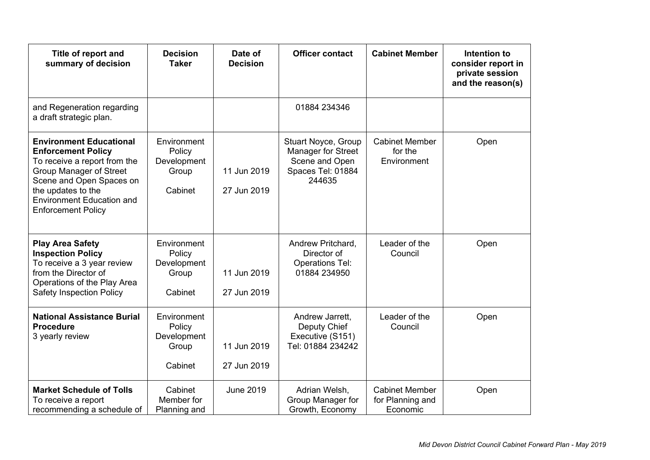| Title of report and<br>summary of decision                                                                                                                                                                                                       | <b>Decision</b><br><b>Taker</b>                          | Date of<br><b>Decision</b> | <b>Officer contact</b>                                                                     | <b>Cabinet Member</b>                                 | Intention to<br>consider report in<br>private session<br>and the reason(s) |
|--------------------------------------------------------------------------------------------------------------------------------------------------------------------------------------------------------------------------------------------------|----------------------------------------------------------|----------------------------|--------------------------------------------------------------------------------------------|-------------------------------------------------------|----------------------------------------------------------------------------|
| and Regeneration regarding<br>a draft strategic plan.                                                                                                                                                                                            |                                                          |                            | 01884 234346                                                                               |                                                       |                                                                            |
| <b>Environment Educational</b><br><b>Enforcement Policy</b><br>To receive a report from the<br><b>Group Manager of Street</b><br>Scene and Open Spaces on<br>the updates to the<br><b>Environment Education and</b><br><b>Enforcement Policy</b> | Environment<br>Policy<br>Development<br>Group<br>Cabinet | 11 Jun 2019<br>27 Jun 2019 | Stuart Noyce, Group<br>Manager for Street<br>Scene and Open<br>Spaces Tel: 01884<br>244635 | <b>Cabinet Member</b><br>for the<br>Environment       | Open                                                                       |
| <b>Play Area Safety</b><br><b>Inspection Policy</b><br>To receive a 3 year review<br>from the Director of<br>Operations of the Play Area<br><b>Safety Inspection Policy</b>                                                                      | Environment<br>Policy<br>Development<br>Group<br>Cabinet | 11 Jun 2019<br>27 Jun 2019 | Andrew Pritchard,<br>Director of<br><b>Operations Tel:</b><br>01884 234950                 | Leader of the<br>Council                              | Open                                                                       |
| <b>National Assistance Burial</b><br><b>Procedure</b><br>3 yearly review                                                                                                                                                                         | Environment<br>Policy<br>Development<br>Group<br>Cabinet | 11 Jun 2019<br>27 Jun 2019 | Andrew Jarrett,<br>Deputy Chief<br>Executive (S151)<br>Tel: 01884 234242                   | Leader of the<br>Council                              | Open                                                                       |
| <b>Market Schedule of Tolls</b><br>To receive a report<br>recommending a schedule of                                                                                                                                                             | Cabinet<br>Member for<br>Planning and                    | <b>June 2019</b>           | Adrian Welsh,<br>Group Manager for<br>Growth, Economy                                      | <b>Cabinet Member</b><br>for Planning and<br>Economic | Open                                                                       |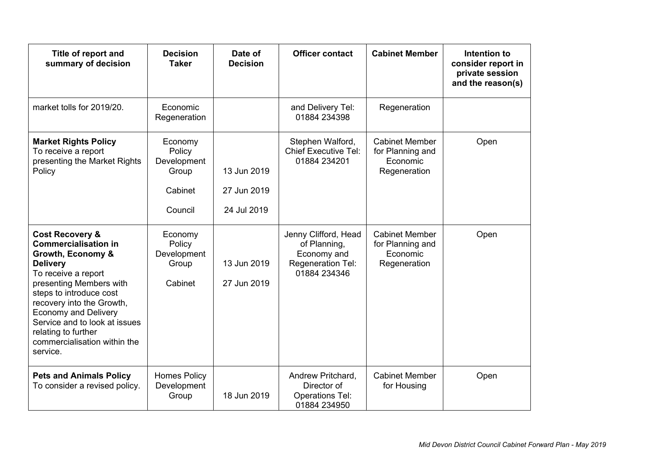| Title of report and<br>summary of decision                                                                                                                                                                                                                                                                                                     | <b>Decision</b><br><b>Taker</b>                                 | Date of<br><b>Decision</b>                | <b>Officer contact</b>                                                                   | <b>Cabinet Member</b>                                                 | Intention to<br>consider report in<br>private session<br>and the reason(s) |
|------------------------------------------------------------------------------------------------------------------------------------------------------------------------------------------------------------------------------------------------------------------------------------------------------------------------------------------------|-----------------------------------------------------------------|-------------------------------------------|------------------------------------------------------------------------------------------|-----------------------------------------------------------------------|----------------------------------------------------------------------------|
| market tolls for 2019/20.                                                                                                                                                                                                                                                                                                                      | Economic<br>Regeneration                                        |                                           | and Delivery Tel:<br>01884 234398                                                        | Regeneration                                                          |                                                                            |
| <b>Market Rights Policy</b><br>To receive a report<br>presenting the Market Rights<br>Policy                                                                                                                                                                                                                                                   | Economy<br>Policy<br>Development<br>Group<br>Cabinet<br>Council | 13 Jun 2019<br>27 Jun 2019<br>24 Jul 2019 | Stephen Walford,<br><b>Chief Executive Tel:</b><br>01884 234201                          | <b>Cabinet Member</b><br>for Planning and<br>Economic<br>Regeneration | Open                                                                       |
| <b>Cost Recovery &amp;</b><br><b>Commercialisation in</b><br>Growth, Economy &<br><b>Delivery</b><br>To receive a report<br>presenting Members with<br>steps to introduce cost<br>recovery into the Growth,<br><b>Economy and Delivery</b><br>Service and to look at issues<br>relating to further<br>commercialisation within the<br>service. | Economy<br>Policy<br>Development<br>Group<br>Cabinet            | 13 Jun 2019<br>27 Jun 2019                | Jenny Clifford, Head<br>of Planning,<br>Economy and<br>Regeneration Tel:<br>01884 234346 | <b>Cabinet Member</b><br>for Planning and<br>Economic<br>Regeneration | Open                                                                       |
| <b>Pets and Animals Policy</b><br>To consider a revised policy.                                                                                                                                                                                                                                                                                | <b>Homes Policy</b><br>Development<br>Group                     | 18 Jun 2019                               | Andrew Pritchard,<br>Director of<br><b>Operations Tel:</b><br>01884 234950               | <b>Cabinet Member</b><br>for Housing                                  | Open                                                                       |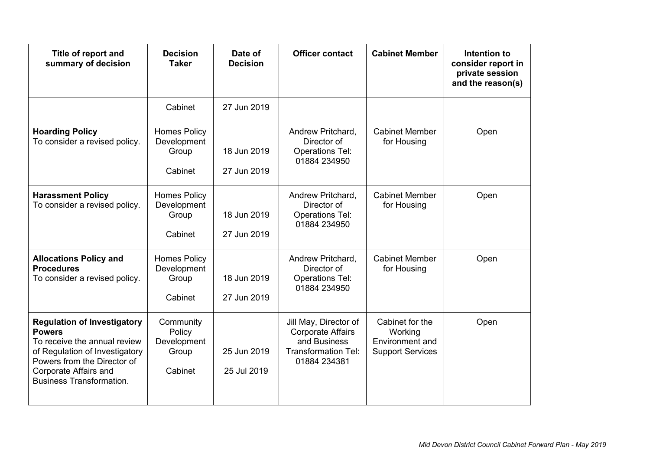| Title of report and<br>summary of decision                                                                                                                                                                       | <b>Decision</b><br><b>Taker</b>                        | Date of<br><b>Decision</b> | <b>Officer contact</b>                                                                                          | <b>Cabinet Member</b>                                                    | Intention to<br>consider report in<br>private session<br>and the reason(s) |
|------------------------------------------------------------------------------------------------------------------------------------------------------------------------------------------------------------------|--------------------------------------------------------|----------------------------|-----------------------------------------------------------------------------------------------------------------|--------------------------------------------------------------------------|----------------------------------------------------------------------------|
|                                                                                                                                                                                                                  | Cabinet                                                | 27 Jun 2019                |                                                                                                                 |                                                                          |                                                                            |
| <b>Hoarding Policy</b><br>To consider a revised policy.                                                                                                                                                          | <b>Homes Policy</b><br>Development<br>Group<br>Cabinet | 18 Jun 2019<br>27 Jun 2019 | Andrew Pritchard,<br>Director of<br><b>Operations Tel:</b><br>01884 234950                                      | <b>Cabinet Member</b><br>for Housing                                     | Open                                                                       |
| <b>Harassment Policy</b><br>To consider a revised policy.                                                                                                                                                        | <b>Homes Policy</b><br>Development<br>Group<br>Cabinet | 18 Jun 2019<br>27 Jun 2019 | Andrew Pritchard,<br>Director of<br><b>Operations Tel:</b><br>01884 234950                                      | <b>Cabinet Member</b><br>for Housing                                     | Open                                                                       |
| <b>Allocations Policy and</b><br><b>Procedures</b><br>To consider a revised policy.                                                                                                                              | <b>Homes Policy</b><br>Development<br>Group<br>Cabinet | 18 Jun 2019<br>27 Jun 2019 | Andrew Pritchard,<br>Director of<br><b>Operations Tel:</b><br>01884 234950                                      | <b>Cabinet Member</b><br>for Housing                                     | Open                                                                       |
| <b>Regulation of Investigatory</b><br><b>Powers</b><br>To receive the annual review<br>of Regulation of Investigatory<br>Powers from the Director of<br>Corporate Affairs and<br><b>Business Transformation.</b> | Community<br>Policy<br>Development<br>Group<br>Cabinet | 25 Jun 2019<br>25 Jul 2019 | Jill May, Director of<br><b>Corporate Affairs</b><br>and Business<br><b>Transformation Tel:</b><br>01884 234381 | Cabinet for the<br>Working<br>Environment and<br><b>Support Services</b> | Open                                                                       |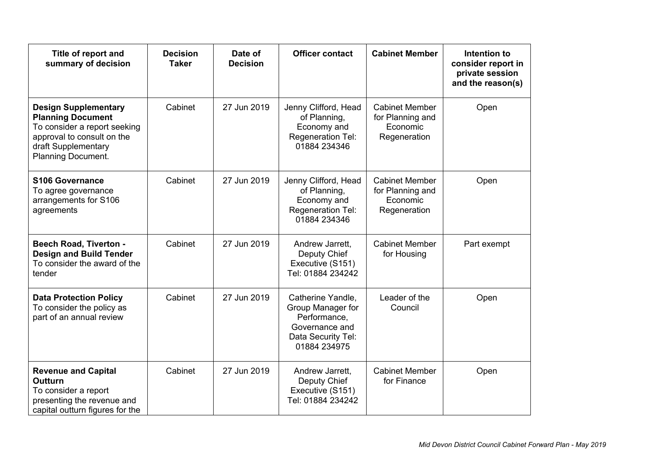| Title of report and<br>summary of decision                                                                                                                                | <b>Decision</b><br><b>Taker</b> | Date of<br><b>Decision</b> | <b>Officer contact</b>                                                                                         | <b>Cabinet Member</b>                                                 | Intention to<br>consider report in<br>private session<br>and the reason(s) |
|---------------------------------------------------------------------------------------------------------------------------------------------------------------------------|---------------------------------|----------------------------|----------------------------------------------------------------------------------------------------------------|-----------------------------------------------------------------------|----------------------------------------------------------------------------|
| <b>Design Supplementary</b><br><b>Planning Document</b><br>To consider a report seeking<br>approval to consult on the<br>draft Supplementary<br><b>Planning Document.</b> | Cabinet                         | 27 Jun 2019                | Jenny Clifford, Head<br>of Planning,<br>Economy and<br>Regeneration Tel:<br>01884 234346                       | <b>Cabinet Member</b><br>for Planning and<br>Economic<br>Regeneration | Open                                                                       |
| <b>S106 Governance</b><br>To agree governance<br>arrangements for S106<br>agreements                                                                                      | Cabinet                         | 27 Jun 2019                | Jenny Clifford, Head<br>of Planning,<br>Economy and<br>Regeneration Tel:<br>01884 234346                       | <b>Cabinet Member</b><br>for Planning and<br>Economic<br>Regeneration | Open                                                                       |
| <b>Beech Road, Tiverton -</b><br><b>Design and Build Tender</b><br>To consider the award of the<br>tender                                                                 | Cabinet                         | 27 Jun 2019                | Andrew Jarrett,<br>Deputy Chief<br>Executive (S151)<br>Tel: 01884 234242                                       | <b>Cabinet Member</b><br>for Housing                                  | Part exempt                                                                |
| <b>Data Protection Policy</b><br>To consider the policy as<br>part of an annual review                                                                                    | Cabinet                         | 27 Jun 2019                | Catherine Yandle,<br>Group Manager for<br>Performance,<br>Governance and<br>Data Security Tel:<br>01884 234975 | Leader of the<br>Council                                              | Open                                                                       |
| <b>Revenue and Capital</b><br><b>Outturn</b><br>To consider a report<br>presenting the revenue and<br>capital outturn figures for the                                     | Cabinet                         | 27 Jun 2019                | Andrew Jarrett,<br>Deputy Chief<br>Executive (S151)<br>Tel: 01884 234242                                       | <b>Cabinet Member</b><br>for Finance                                  | Open                                                                       |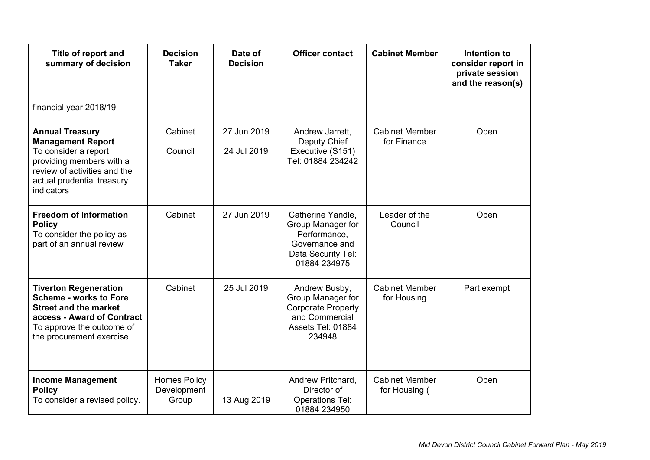| Title of report and<br>summary of decision                                                                                                                                            | <b>Decision</b><br><b>Taker</b>             | Date of<br><b>Decision</b> | <b>Officer contact</b>                                                                                           | <b>Cabinet Member</b>                  | Intention to<br>consider report in<br>private session<br>and the reason(s) |
|---------------------------------------------------------------------------------------------------------------------------------------------------------------------------------------|---------------------------------------------|----------------------------|------------------------------------------------------------------------------------------------------------------|----------------------------------------|----------------------------------------------------------------------------|
| financial year 2018/19                                                                                                                                                                |                                             |                            |                                                                                                                  |                                        |                                                                            |
| <b>Annual Treasury</b><br><b>Management Report</b><br>To consider a report<br>providing members with a<br>review of activities and the<br>actual prudential treasury<br>indicators    | Cabinet<br>Council                          | 27 Jun 2019<br>24 Jul 2019 | Andrew Jarrett,<br>Deputy Chief<br>Executive (S151)<br>Tel: 01884 234242                                         | <b>Cabinet Member</b><br>for Finance   | Open                                                                       |
| <b>Freedom of Information</b><br><b>Policy</b><br>To consider the policy as<br>part of an annual review                                                                               | Cabinet                                     | 27 Jun 2019                | Catherine Yandle,<br>Group Manager for<br>Performance,<br>Governance and<br>Data Security Tel:<br>01884 234975   | Leader of the<br>Council               | Open                                                                       |
| <b>Tiverton Regeneration</b><br><b>Scheme - works to Fore</b><br><b>Street and the market</b><br>access - Award of Contract<br>To approve the outcome of<br>the procurement exercise. | Cabinet                                     | 25 Jul 2019                | Andrew Busby,<br>Group Manager for<br><b>Corporate Property</b><br>and Commercial<br>Assets Tel: 01884<br>234948 | <b>Cabinet Member</b><br>for Housing   | Part exempt                                                                |
| <b>Income Management</b><br><b>Policy</b><br>To consider a revised policy.                                                                                                            | <b>Homes Policy</b><br>Development<br>Group | 13 Aug 2019                | Andrew Pritchard,<br>Director of<br><b>Operations Tel:</b><br>01884 234950                                       | <b>Cabinet Member</b><br>for Housing ( | Open                                                                       |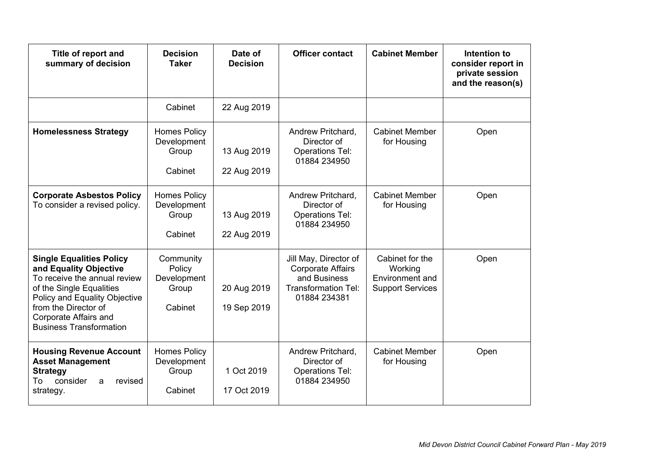| Title of report and<br>summary of decision                                                                                                                                                                                                       | <b>Decision</b><br><b>Taker</b>                        | Date of<br><b>Decision</b> | <b>Officer contact</b>                                                                                          | <b>Cabinet Member</b>                                                    | Intention to<br>consider report in<br>private session<br>and the reason(s) |
|--------------------------------------------------------------------------------------------------------------------------------------------------------------------------------------------------------------------------------------------------|--------------------------------------------------------|----------------------------|-----------------------------------------------------------------------------------------------------------------|--------------------------------------------------------------------------|----------------------------------------------------------------------------|
|                                                                                                                                                                                                                                                  | Cabinet                                                | 22 Aug 2019                |                                                                                                                 |                                                                          |                                                                            |
| <b>Homelessness Strategy</b>                                                                                                                                                                                                                     | <b>Homes Policy</b><br>Development<br>Group<br>Cabinet | 13 Aug 2019<br>22 Aug 2019 | Andrew Pritchard,<br>Director of<br><b>Operations Tel:</b><br>01884 234950                                      | <b>Cabinet Member</b><br>for Housing                                     | Open                                                                       |
| <b>Corporate Asbestos Policy</b><br>To consider a revised policy.                                                                                                                                                                                | <b>Homes Policy</b><br>Development<br>Group<br>Cabinet | 13 Aug 2019<br>22 Aug 2019 | Andrew Pritchard,<br>Director of<br><b>Operations Tel:</b><br>01884 234950                                      | <b>Cabinet Member</b><br>for Housing                                     | Open                                                                       |
| <b>Single Equalities Policy</b><br>and Equality Objective<br>To receive the annual review<br>of the Single Equalities<br>Policy and Equality Objective<br>from the Director of<br><b>Corporate Affairs and</b><br><b>Business Transformation</b> | Community<br>Policy<br>Development<br>Group<br>Cabinet | 20 Aug 2019<br>19 Sep 2019 | Jill May, Director of<br><b>Corporate Affairs</b><br>and Business<br><b>Transformation Tel:</b><br>01884 234381 | Cabinet for the<br>Working<br>Environment and<br><b>Support Services</b> | Open                                                                       |
| <b>Housing Revenue Account</b><br><b>Asset Management</b><br><b>Strategy</b><br>To<br>consider<br>revised<br>a<br>strategy.                                                                                                                      | <b>Homes Policy</b><br>Development<br>Group<br>Cabinet | 1 Oct 2019<br>17 Oct 2019  | Andrew Pritchard,<br>Director of<br><b>Operations Tel:</b><br>01884 234950                                      | <b>Cabinet Member</b><br>for Housing                                     | Open                                                                       |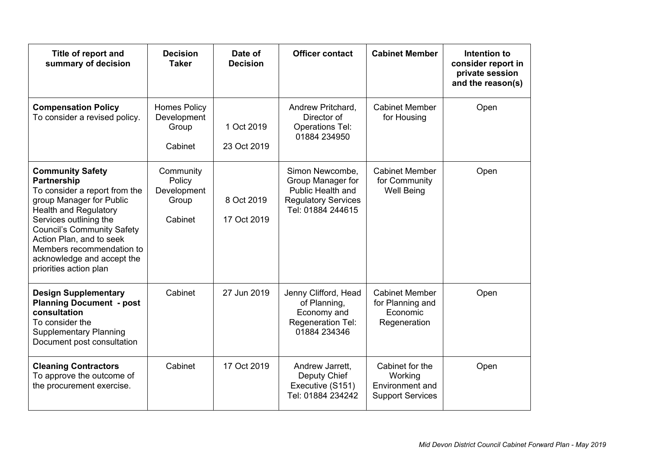| Title of report and<br>summary of decision                                                                                                                                                                                                                                                                                 | <b>Decision</b><br><b>Taker</b>                        | Date of<br><b>Decision</b> | <b>Officer contact</b>                                                                                       | <b>Cabinet Member</b>                                                    | Intention to<br>consider report in<br>private session<br>and the reason(s) |
|----------------------------------------------------------------------------------------------------------------------------------------------------------------------------------------------------------------------------------------------------------------------------------------------------------------------------|--------------------------------------------------------|----------------------------|--------------------------------------------------------------------------------------------------------------|--------------------------------------------------------------------------|----------------------------------------------------------------------------|
| <b>Compensation Policy</b><br>To consider a revised policy.                                                                                                                                                                                                                                                                | <b>Homes Policy</b><br>Development<br>Group<br>Cabinet | 1 Oct 2019<br>23 Oct 2019  | Andrew Pritchard,<br>Director of<br><b>Operations Tel:</b><br>01884 234950                                   | <b>Cabinet Member</b><br>for Housing                                     | Open                                                                       |
| <b>Community Safety</b><br><b>Partnership</b><br>To consider a report from the<br>group Manager for Public<br><b>Health and Regulatory</b><br>Services outlining the<br><b>Council's Community Safety</b><br>Action Plan, and to seek<br>Members recommendation to<br>acknowledge and accept the<br>priorities action plan | Community<br>Policy<br>Development<br>Group<br>Cabinet | 8 Oct 2019<br>17 Oct 2019  | Simon Newcombe,<br>Group Manager for<br>Public Health and<br><b>Regulatory Services</b><br>Tel: 01884 244615 | <b>Cabinet Member</b><br>for Community<br><b>Well Being</b>              | Open                                                                       |
| <b>Design Supplementary</b><br><b>Planning Document - post</b><br>consultation<br>To consider the<br><b>Supplementary Planning</b><br>Document post consultation                                                                                                                                                           | Cabinet                                                | 27 Jun 2019                | Jenny Clifford, Head<br>of Planning,<br>Economy and<br>Regeneration Tel:<br>01884 234346                     | <b>Cabinet Member</b><br>for Planning and<br>Economic<br>Regeneration    | Open                                                                       |
| <b>Cleaning Contractors</b><br>To approve the outcome of<br>the procurement exercise.                                                                                                                                                                                                                                      | Cabinet                                                | 17 Oct 2019                | Andrew Jarrett,<br>Deputy Chief<br>Executive (S151)<br>Tel: 01884 234242                                     | Cabinet for the<br>Working<br>Environment and<br><b>Support Services</b> | Open                                                                       |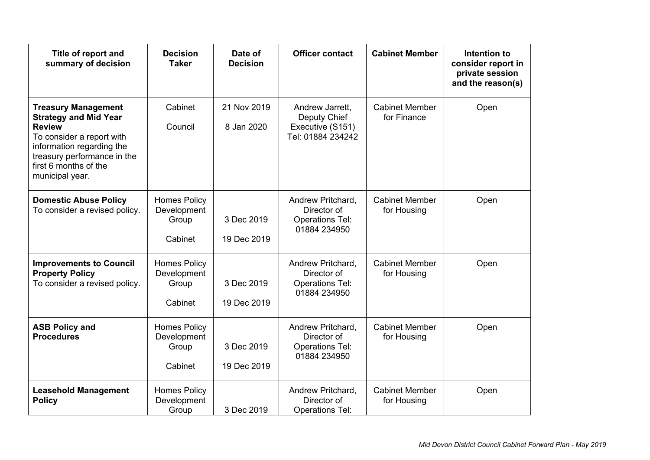| Title of report and<br>summary of decision                                                                                                                                                                       | <b>Decision</b><br><b>Taker</b>                        | Date of<br><b>Decision</b> | <b>Officer contact</b>                                                     | <b>Cabinet Member</b>                | Intention to<br>consider report in<br>private session<br>and the reason(s) |
|------------------------------------------------------------------------------------------------------------------------------------------------------------------------------------------------------------------|--------------------------------------------------------|----------------------------|----------------------------------------------------------------------------|--------------------------------------|----------------------------------------------------------------------------|
| <b>Treasury Management</b><br><b>Strategy and Mid Year</b><br><b>Review</b><br>To consider a report with<br>information regarding the<br>treasury performance in the<br>first 6 months of the<br>municipal year. | Cabinet<br>Council                                     | 21 Nov 2019<br>8 Jan 2020  | Andrew Jarrett,<br>Deputy Chief<br>Executive (S151)<br>Tel: 01884 234242   | <b>Cabinet Member</b><br>for Finance | Open                                                                       |
| <b>Domestic Abuse Policy</b><br>To consider a revised policy.                                                                                                                                                    | <b>Homes Policy</b><br>Development<br>Group<br>Cabinet | 3 Dec 2019<br>19 Dec 2019  | Andrew Pritchard,<br>Director of<br><b>Operations Tel:</b><br>01884 234950 | <b>Cabinet Member</b><br>for Housing | Open                                                                       |
| <b>Improvements to Council</b><br><b>Property Policy</b><br>To consider a revised policy.                                                                                                                        | <b>Homes Policy</b><br>Development<br>Group<br>Cabinet | 3 Dec 2019<br>19 Dec 2019  | Andrew Pritchard,<br>Director of<br><b>Operations Tel:</b><br>01884 234950 | <b>Cabinet Member</b><br>for Housing | Open                                                                       |
| <b>ASB Policy and</b><br><b>Procedures</b>                                                                                                                                                                       | <b>Homes Policy</b><br>Development<br>Group<br>Cabinet | 3 Dec 2019<br>19 Dec 2019  | Andrew Pritchard,<br>Director of<br><b>Operations Tel:</b><br>01884 234950 | <b>Cabinet Member</b><br>for Housing | Open                                                                       |
| <b>Leasehold Management</b><br><b>Policy</b>                                                                                                                                                                     | <b>Homes Policy</b><br>Development<br>Group            | 3 Dec 2019                 | Andrew Pritchard,<br>Director of<br><b>Operations Tel:</b>                 | <b>Cabinet Member</b><br>for Housing | Open                                                                       |